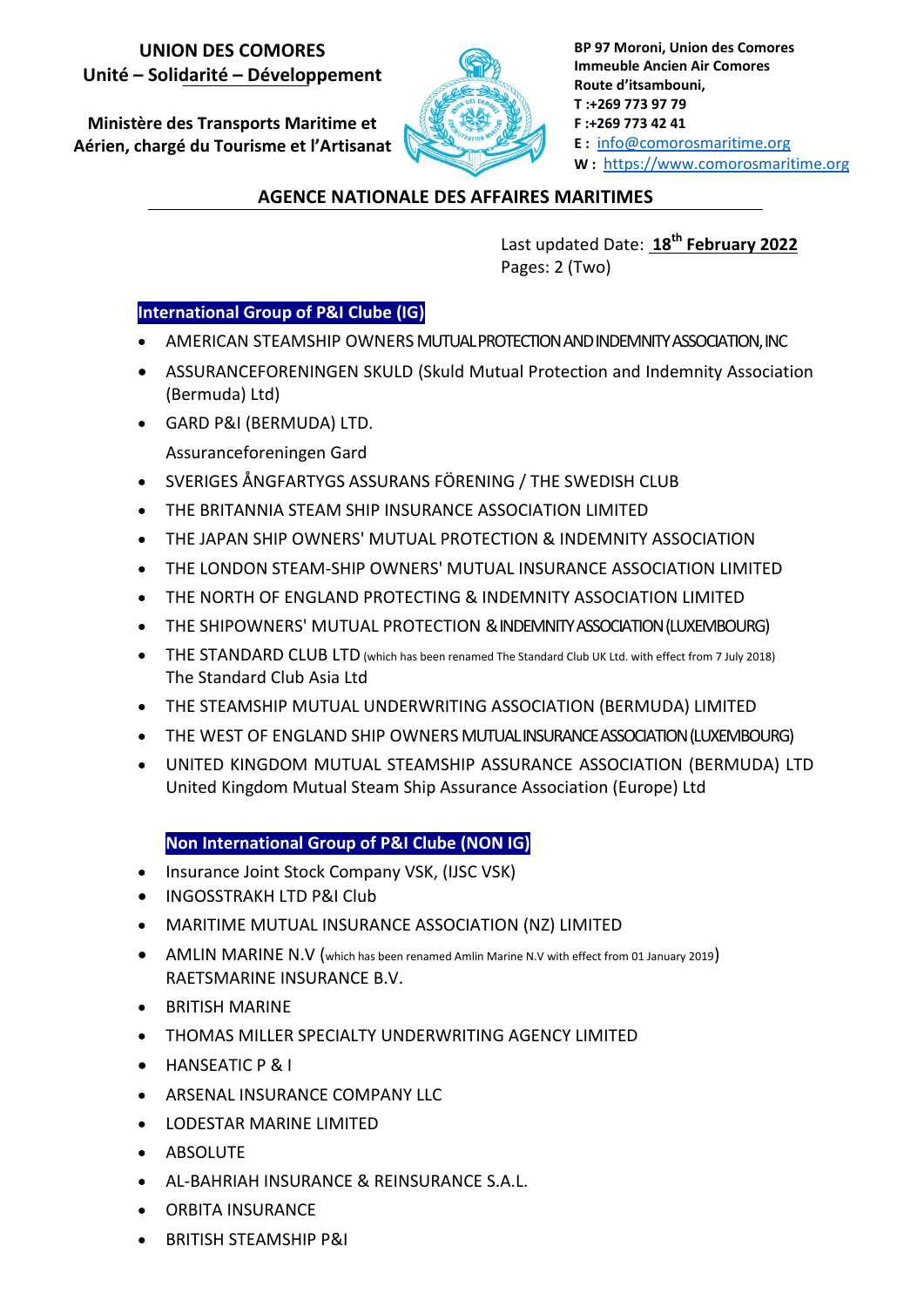## **UNION DES COMORES Unité – Solidarité – Développement**

**Ministère des Transports Maritime et Aérien, chargé du Tourisme et l'Artisanat**



**BP 97 Moroni, Union des Comores Immeuble Ancien Air Comores Route d'itsambouni, T :+269 773 97 79 F :+269 773 42 41 E :** info@comorosmaritime.org **W :** https://www.comorosmaritime.org

## **AGENCE NATIONALE DES AFFAIRES MARITIMES**

Last updated Date: **18th February 2022** Pages: 2 (Two)

## **International Group of P&I Clube (IG)**

- AMERICAN STEAMSHIP OWNERS MUTUAL PROTECTION AND INDEMNITY ASSOCIATION, INC
- ASSURANCEFORENINGEN SKULD (Skuld Mutual Protection and Indemnity Association (Bermuda) Ltd)
- GARD P&I (BERMUDA) LTD.
	- Assuranceforeningen Gard
- SVERIGES ÅNGFARTYGS ASSURANS FÖRENING / THE SWEDISH CLUB
- THE BRITANNIA STEAM SHIP INSURANCE ASSOCIATION LIMITED
- THE JAPAN SHIP OWNERS' MUTUAL PROTECTION & INDEMNITY ASSOCIATION
- THE LONDON STEAM-SHIP OWNERS' MUTUAL INSURANCE ASSOCIATION LIMITED
- THE NORTH OF ENGLAND PROTECTING & INDEMNITY ASSOCIATION LIMITED
- THE SHIPOWNERS' MUTUAL PROTECTION & INDEMNITY ASSOCIATION (LUXEMBOURG)
- **•** THE STANDARD CLUB LTD (which has been renamed The Standard Club UK Ltd. with effect from 7 July 2018) The Standard Club Asia Ltd
- THE STEAMSHIP MUTUAL UNDERWRITING ASSOCIATION (BERMUDA) LIMITED
- THE WEST OF ENGLAND SHIP OWNERS MUTUAL INSURANCE ASSOCIATION (LUXEMBOURG)
- UNITED KINGDOM MUTUAL STEAMSHIP ASSURANCE ASSOCIATION (BERMUDA) LTD United Kingdom Mutual Steam Ship Assurance Association (Europe) Ltd

## **A) Non International Group of P&I Clube (NON IG)**

- Insurance Joint Stock Company VSK, (IJSC VSK)
- **INGOSSTRAKH LTD P&I Club**
- MARITIME MUTUAL INSURANCE ASSOCIATION (NZ) LIMITED
- AMLIN MARINE N.V (which has been renamed Amlin Marine N.V with effect from 01 January 2019) RAETSMARINE INSURANCE B.V.
- BRITISH MARINE
- THOMAS MILLER SPECIALTY UNDERWRITING AGENCY LIMITED
- **•** HANSEATIC P & I
- **ARSENAL INSURANCE COMPANY LLC**
- LODESTAR MARINE LIMITED
- **•** ABSOLUTE
- AL-BAHRIAH INSURANCE & REINSURANCE S.A.L.
- ORBITA INSURANCE
- BRITISH STEAMSHIP P&I